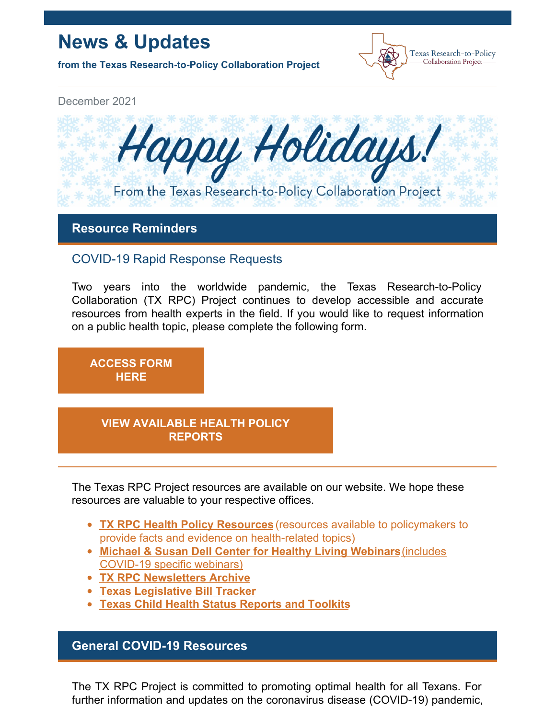# **News & Updates**

**from the Texas Research-to-Policy Collaboration Project**



December 2021



**Resource Reminders**

# COVID-19 Rapid Response Requests

Two years into the worldwide pandemic, the Texas Research-to-Policy Collaboration (TX RPC) Project continues to develop accessible and accurate resources from health experts in the field. If you would like to request information on a public health topic, please complete the following form.

**[ACCESS](https://docs.google.com/forms/u/2/d/1Wugxw_5Z2snWP5rEmX4N88dLKRnqrsAPYug_bCWMdCo/viewform?edit_requested=true) FORM HERE**

## **VIEW [AVAILABLE](https://sph.uth.edu/research/centers/dell/legislative-initiatives/texas-rpc-resources) HEALTH POLICY REPORTS**

The Texas RPC Project resources are available on our website. We hope these resources are valuable to your respective offices.

- **TX RPC Health Policy [Resources](https://sph.uth.edu/research/centers/dell/legislative-initiatives/texas-rpc-resources)** (resources available to policymakers to provide facts and evidence on health-related topics)
- **Michael & Susan Dell Center for Healthy Living [Webinars](https://sph.uth.edu/research/centers/dell/webinars/)**(includes COVID-19 specific webinars)
- **TX RPC [Newsletters](https://sph.uth.edu/research/centers/dell/legislative-initiatives/rpc-newsletters) Archive**
- **Texas [Legislative](https://sph.uth.edu/research/centers/dell/87th-texas-legislative-session/index.htm) Bill Tracker**
- **Texas Child Health Status [Reports](https://sph.uth.edu/research/centers/dell/texas-child-health-status-report/index.htm) and Toolkits**

# **General COVID-19 Resources**

The TX RPC Project is committed to promoting optimal health for all Texans. For further information and updates on the coronavirus disease (COVID-19) pandemic,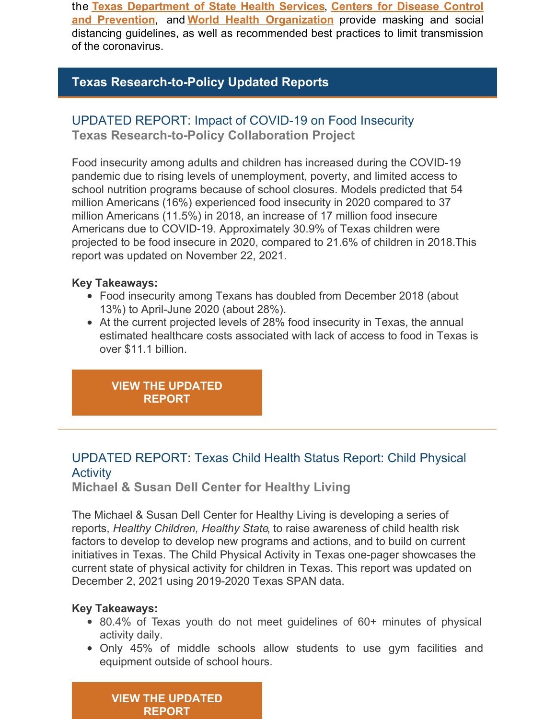the **Texas [Department](https://dshs.texas.gov/coronavirus/) of State Health Services**, **Centers for Disease Control and Prevention**, and **World Health [Organization](https://www.cdc.gov/coronavirus/2019-ncov/index.html)** provide masking and social distancing guidelines, as well as recommended best practices to limit transmission of the coronavirus.

# **Texas Research-to-Policy Updated Reports**

## UPDATED REPORT: Impact of COVID-19 on Food Insecurity

**Texas Research-to-Policy Collaboration Project**

Food insecurity among adults and children has increased during the COVID-19 pandemic due to rising levels of unemployment, poverty, and limited access to school nutrition programs because of school closures. Models predicted that 54 million Americans (16%) experienced food insecurity in 2020 compared to 37 million Americans (11.5%) in 2018, an increase of 17 million food insecure Americans due to COVID-19. Approximately 30.9% of Texas children were projected to be food insecure in 2020, compared to 21.6% of children in 2018.This report was updated on November 22, 2021.

#### **Key Takeaways:**

- Food insecurity among Texans has doubled from December 2018 (about 13%) to April-June 2020 (about 28%).
- At the current projected levels of 28% food insecurity in Texas, the annual estimated healthcare costs associated with lack of access to food in Texas is over \$11.1 billion.

**VIEW THE [UPDATED](https://sph.uth.edu/research/centers/dell/legislative-initiatives/COVID-19 and FI.pdf) REPORT**

# UPDATED REPORT: Texas Child Health Status Report: Child Physical Activity

**Michael & Susan Dell Center for Healthy Living**

The Michael & Susan Dell Center for Healthy Living is developing a series of reports, *Healthy Children, Healthy State*, to raise awareness of child health risk factors to develop to develop new programs and actions, and to build on current initiatives in Texas. The Child Physical Activity in Texas one-pager showcases the current state of physical activity for children in Texas. This report was updated on December 2, 2021 using 2019-2020 Texas SPAN data.

#### **Key Takeaways:**

- 80.4% of Texas youth do not meet guidelines of 60+ minutes of physical activity daily.
- Only 45% of middle schools allow students to use gym facilities and equipment outside of school hours.

**VIEW THE [UPDATED](https://sph.uth.edu/research/centers/dell/texas-child-health-status-report/physical activity 2021.pdf) REPORT**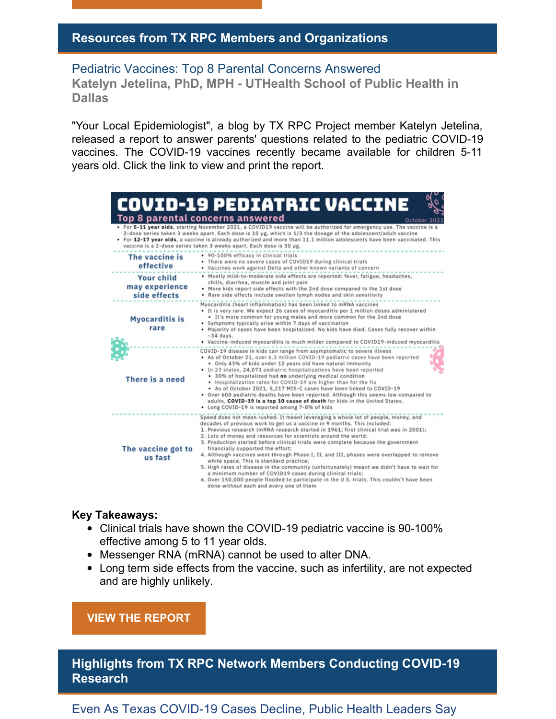## **Resources from TX RPC Members and Organizations**

Pediatric Vaccines: Top 8 Parental Concerns Answered **Katelyn Jetelina, PhD, MPH - UTHealth School of Public Health in Dallas**

"Your Local Epidemiologist", a blog by TX RPC Project member Katelyn Jetelina, released a report to answer parents' questions related to the pediatric COVID-19 vaccines. The COVID-19 vaccines recently became available for children 5-11 years old. Click the link to view and print the report.

|                                           | <b>COVID-19 PEDIATRIC VACCINE</b><br><b>Top 8 parental concerns answered</b><br>October 2021<br>. For 5-11 year olds, starting November 2021, a COVID19 vaccine will be authorized for emergency use. The vaccine is a<br>2-dose series taken 3 weeks apart. Each dose is 10 µg, which is 1/3 the dosage of the adolescent/adult vaccine<br>• For 12-17 year olds, a vaccine is already authorized and more than 11.1 million adolescents have been vaccinated. This<br>vaccine is a 2-dose series taken 3 weeks apart. Each dose is 30 µg.                                                                                                                                                                                       |
|-------------------------------------------|-----------------------------------------------------------------------------------------------------------------------------------------------------------------------------------------------------------------------------------------------------------------------------------------------------------------------------------------------------------------------------------------------------------------------------------------------------------------------------------------------------------------------------------------------------------------------------------------------------------------------------------------------------------------------------------------------------------------------------------|
| The vaccine is<br>effective<br>Your child | • 90-100% efficacy in clinical trials<br>. There were no severe cases of COVID19 during clinical trials<br>. Vaccines work against Delta and other known variants of concern<br>. Mostly mild-to-moderate side effects are reported: fever, fatigue, headaches,                                                                                                                                                                                                                                                                                                                                                                                                                                                                   |
| may experience<br>side effects            | chills, diarrhea, muscle and joint pain<br>• More kids report side effects with the 2nd dose compared to the 1st dose<br>. Rare side effects include swollen lymph nodes and skin sensitivity                                                                                                                                                                                                                                                                                                                                                                                                                                                                                                                                     |
| <b>Myocarditis is</b><br>rare             | Myocarditis (heart inflammation) has been linked to mRNA vaccines<br>. It is very rare. We expect 26 cases of myocarditis per 1 million doses administered<br>• It's more common for young males and more common for the 2nd dose<br>• Symptoms typically arise within 7 days of vaccination<br>. Majority of cases have been hospitalized. No kids have died. Cases fully recover within<br>$-34$ days.<br>. Vaccine-induced myocarditis is much milder compared to COVID19-induced myocarditis                                                                                                                                                                                                                                  |
| There is a need                           | COVID-19 disease in kids can range from asymptomatic to severe illness<br>. As of October 21, over 6.3 million COVID-19 pediatric cases have been reported<br>. Only 43% of kids under 12 years old have natural immunity<br>. In 23 states, 24,073 pediatric hospitalizations have been reported<br>• 30% of hospitalized had no underlying medical condition<br>. Hospitalization rates for COVID-19 are higher than for the flu<br>+ As of October 2021, 5,217 MIS-C cases have been linked to COVID-19<br>• Over 600 pediatric deaths have been reported. Although this seems low compared to<br>adults, COVID-19 is a top 10 cause of death for kids in the United States.<br>• Long COVID-19 is reported among 7-8% of kids |
|                                           | Speed does not mean rushed. It meant leveraging a whole lot of people, money, and<br>decades of previous work to get us a vaccine in 9 months. This included:                                                                                                                                                                                                                                                                                                                                                                                                                                                                                                                                                                     |
| The vaccine got to<br>us fast             | 1. Previous research (mRNA research started in 1961; first clinical trial was in 2001);<br>2. Lots of money and resources for scientists around the world;<br>3. Production started before clinical trials were complete because the government<br>financially supported the effort:<br>4. Although vaccines went through Phase I, II, and III, phases were overlapped to remove<br>white space. This is standard practice;<br>5. High rates of disease in the community (unfortunately) meant we didn't have to wait for<br>a minimum number of COVID19 cases during clinical trials;<br>6. Over 150,000 people flooded to participate in the U.S. trials. This couldn't have been<br>done without each and every one of them    |

#### **Key Takeaways:**

- Clinical trials have shown the COVID-19 pediatric vaccine is 90-100% effective among 5 to 11 year olds.
- Messenger RNA (mRNA) cannot be used to alter DNA.
- Long term side effects from the vaccine, such as infertility, are not expected and are highly unlikely.

**VIEW THE [REPORT](https://yourlocalepidemiologist.substack.com/p/pediatric-vaccines-top-8-parental?token=eyJ1c2VyX2lkIjoyNzMyMDUzOSwiXyI6ImtlMjZWIiwiaWF0IjoxNjM1NDM1ODc3LCJleHAiOjE2MzU0Mzk0NzcsImlzcyI6InB1Yi0yODEyMTkiLCJzdWIiOiJwb3N0LXJlYWN0aW9uIn0.MYenBUtqFD5WXDZlj6Azq0queQRFahxkDRimhqJWorw)**

**Highlights from TX RPC Network Members Conducting COVID-19 Research**

Even As Texas COVID-19 Cases Decline, Public Health Leaders Say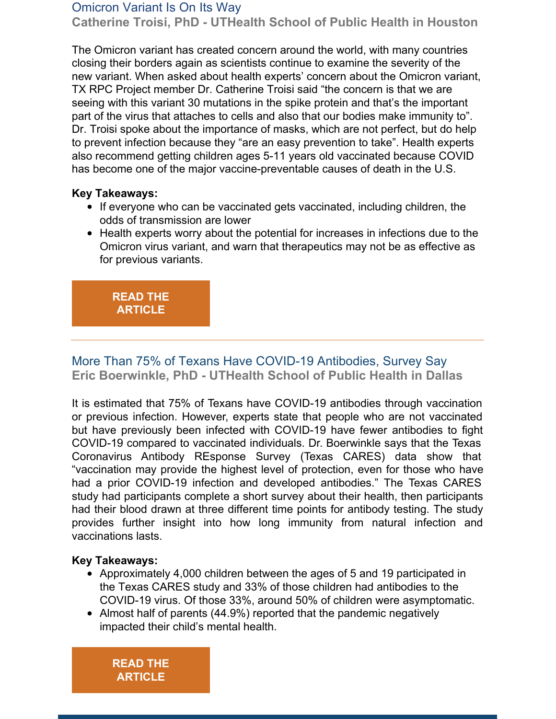#### Omicron Variant Is On Its Way

**Catherine Troisi, PhD - UTHealth School of Public Health in Houston**

The Omicron variant has created concern around the world, with many countries closing their borders again as scientists continue to examine the severity of the new variant. When asked about health experts' concern about the Omicron variant, TX RPC Project member Dr. Catherine Troisi said "the concern is that we are seeing with this variant 30 mutations in the spike protein and that's the important part of the virus that attaches to cells and also that our bodies make immunity to". Dr. Troisi spoke about the importance of masks, which are not perfect, but do help to prevent infection because they "are an easy prevention to take". Health experts also recommend getting children ages 5-11 years old vaccinated because COVID has become one of the major vaccine-preventable causes of death in the U.S.

#### **Key Takeaways:**

- If everyone who can be vaccinated gets vaccinated, including children, the odds of transmission are lower
- Health experts worry about the potential for increases in infections due to the Omicron virus variant, and warn that therapeutics may not be as effective as for previous variants.

## **READ THE [ARTICLE](https://www.texasstandard.org/stories/even-as-texas-covid-cases-decline-public-health-leaders-say-omicron-variant-is-on-its-way/)**

## More Than 75% of Texans Have COVID-19 Antibodies, Survey Say **Eric Boerwinkle, PhD - UTHealth School of Public Health in Dallas**

It is estimated that 75% of Texans have COVID-19 antibodies through vaccination or previous infection. However, experts state that people who are not vaccinated but have previously been infected with COVID-19 have fewer antibodies to fight COVID-19 compared to vaccinated individuals. Dr. Boerwinkle says that the Texas Coronavirus Antibody REsponse Survey (Texas CARES) data show that "vaccination may provide the highest level of protection, even for those who have had a prior COVID-19 infection and developed antibodies." The Texas CARES study had participants complete a short survey about their health, then participants had their blood drawn at three different time points for antibody testing. The study provides further insight into how long immunity from natural infection and vaccinations lasts.

#### **Key Takeaways:**

- Approximately 4,000 children between the ages of 5 and 19 participated in the Texas CARES study and 33% of those children had antibodies to the COVID-19 virus. Of those 33%, around 50% of children were asymptomatic.
- Almost half of parents (44.9%) reported that the pandemic negatively impacted their child's mental health.

**READ THE [ARTICLE](https://www.khou.com/article/news/health/coronavirus/vaccine/texans-covid19-antibodies-texascares-uthealth/285-90445e46-804b-42c3-92e1-f7cf395cda3b)**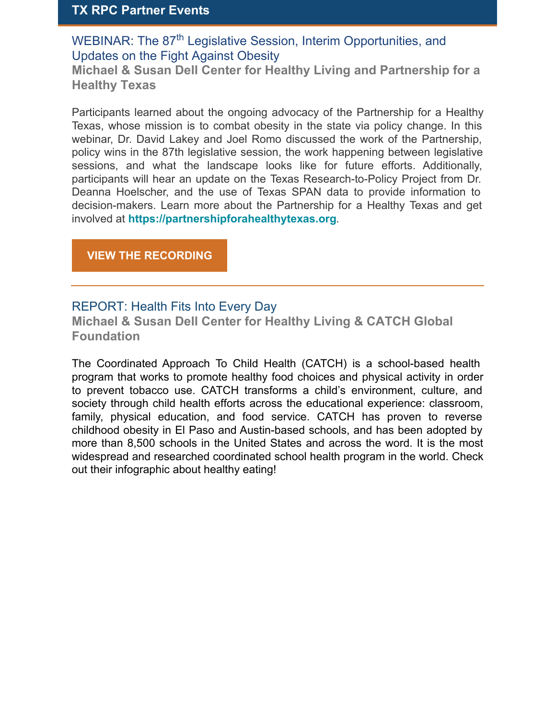## **TX RPC Partner Events**

WEBINAR: The 87<sup>th</sup> Legislative Session, Interim Opportunities, and Updates on the Fight Against Obesity

**Michael & Susan Dell Center for Healthy Living and Partnership for a Healthy Texas**

Participants learned about the ongoing advocacy of the Partnership for a Healthy Texas, whose mission is to combat obesity in the state via policy change. In this webinar, Dr. David Lakey and Joel Romo discussed the work of the Partnership, policy wins in the 87th legislative session, the work happening between legislative sessions, and what the landscape looks like for future efforts. Additionally, participants will hear an update on the Texas Research-to-Policy Project from Dr. Deanna Hoelscher, and the use of Texas SPAN data to provide information to decision-makers. Learn more about the Partnership for a Healthy Texas and get involved at **[https://partnershipforahealthytexas.org](https://partnershipforahealthytexas.org/)**.

**VIEW THE [RECORDING](https://sph.uth.edu/research/centers/dell/webinars/webinar.htm?id=c2b8fd57-42b1-481f-9c00-8fba0226365f)**

## REPORT: Health Fits Into Every Day

**Michael & Susan Dell Center for Healthy Living & CATCH Global Foundation**

The Coordinated Approach To Child Health (CATCH) is a school-based health program that works to promote healthy food choices and physical activity in order to prevent tobacco use. CATCH transforms a child's environment, culture, and society through child health efforts across the educational experience: classroom, family, physical education, and food service. CATCH has proven to reverse childhood obesity in El Paso and Austin-based schools, and has been adopted by more than 8,500 schools in the United States and across the word. It is the most widespread and researched coordinated school health program in the world. Check out their infographic about healthy eating!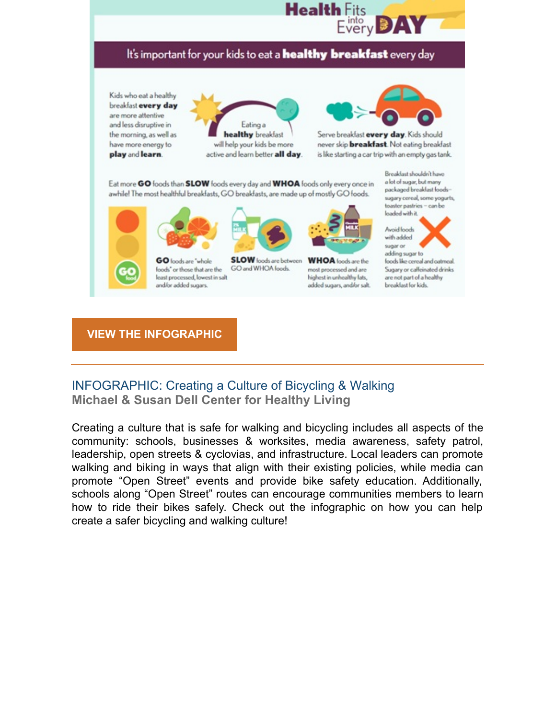## It's important for your kids to eat a healthy breakfast every day

Kids who eat a healthy breakfast every day are more attentive and less disruptive in the morning, as well as have more energy to play and learn.





Serve breakfast every day. Kids should never skip **breakfast**. Not eating breakfast is like starting a car trip with an empty gas tank.

Eat more GO foods than SLOW foods every day and WHOA foods only every once in awhile! The most healthful breakfasts, GO breakfasts, are made up of mostly GO foods.





**SLOW** foods are between GO loods are "whole GO and WHOA foods. loods" or those that are the least processed, lowest in salt and/or added sugars.



**Health** Fits

into very

most processed and are highest in unhealthy fats, added sugars, and/or salt. Breakfast shouldn't have a lot of sugar, but many packaged breaklast loodssugary cereal, some yogurts, toaster pastries - can be loaded with it.



foods like cereal and oatmeal. Sugary or caffoinated drinks are not part of a healthy breaklast for kids.

### **VIEW THE [INFOGRAPHIC](https://sph.uth.edu/research/centers/dell/assets/resources-images/hfied_breakfast_eng.pdf)**

## INFOGRAPHIC: Creating a Culture of Bicycling & Walking **Michael & Susan Dell Center for Healthy Living**

Creating a culture that is safe for walking and bicycling includes all aspects of the community: schools, businesses & worksites, media awareness, safety patrol, leadership, open streets & cyclovias, and infrastructure. Local leaders can promote walking and biking in ways that align with their existing policies, while media can promote "Open Street" events and provide bike safety education. Additionally, schools along "Open Street" routes can encourage communities members to learn how to ride their bikes safely. Check out the infographic on how you can help create a safer bicycling and walking culture!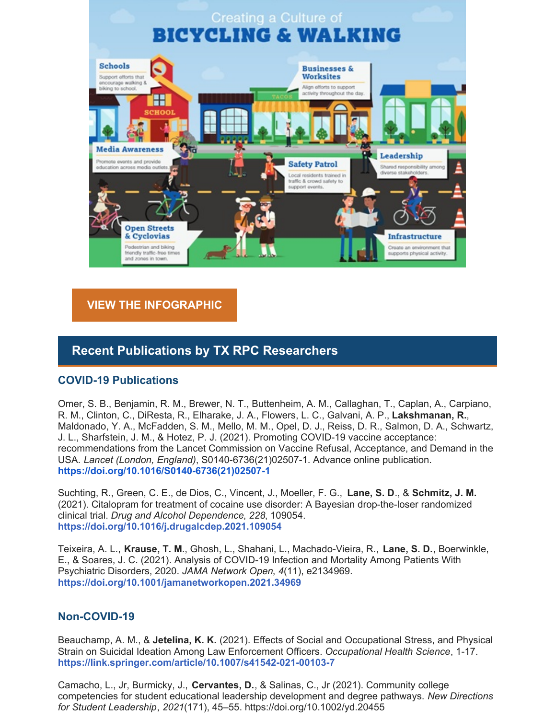

### **VIEW THE [INFOGRAPHIC](https://sph.uth.edu/research/centers/dell/assets/resources-images/bikewalkgraphiceng.pdf)**

## **Recent Publications by TX RPC Researchers**

#### **COVID-19 Publications**

Omer, S. B., Benjamin, R. M., Brewer, N. T., Buttenheim, A. M., Callaghan, T., Caplan, A., Carpiano, R. M., Clinton, C., DiResta, R., Elharake, J. A., Flowers, L. C., Galvani, A. P., **Lakshmanan, R.**, Maldonado, Y. A., McFadden, S. M., Mello, M. M., Opel, D. J., Reiss, D. R., Salmon, D. A., Schwartz, J. L., Sharfstein, J. M., & Hotez, P. J. (2021). Promoting COVID-19 vaccine acceptance: recommendations from the Lancet Commission on Vaccine Refusal, Acceptance, and Demand in the USA. *Lancet (London, England)*, S0140-6736(21)02507-1. Advance online publication. **[https://doi.org/10.1016/S0140-6736\(21\)02507-1](https://doi.org/10.1016/S0140-6736(21)02507-1)**

Suchting, R., Green, C. E., de Dios, C., Vincent, J., Moeller, F. G., **Lane, S. D**., & **Schmitz, J. M.** (2021). Citalopram for treatment of cocaine use disorder: A Bayesian drop-the-loser randomized clinical trial. *Drug and Alcohol Dependence*, *228*, 109054. **https://doi.org/10.1016/j.drugalcdep.2021.109054**

Teixeira, A. L., **Krause, T. M**., Ghosh, L., Shahani, L., Machado-Vieira, R., **Lane, S. D.**, Boerwinkle, E., & Soares, J. C. (2021). Analysis of COVID-19 Infection and Mortality Among Patients With Psychiatric Disorders, 2020. *JAMA Network Open*, *4*(11), e2134969. **https://doi.org/10.1001/jamanetworkopen.2021.34969**

#### **Non-COVID-19**

Beauchamp, A. M., & **Jetelina, K. K.** (2021). Effects of Social and Occupational Stress, and Physical Strain on Suicidal Ideation Among Law Enforcement Officers. *Occupational Health Science*, 1-17. **https://link.springer.com/article/10.1007/s41542-021-00103-7**

Camacho, L., Jr, Burmicky, J., **Cervantes, D.**, & Salinas, C., Jr (2021). Community college competencies for student educational leadership development and degree pathways. *New Directions for Student Leadership*, *2021*(171), 45–55. https://doi.org/10.1002/yd.20455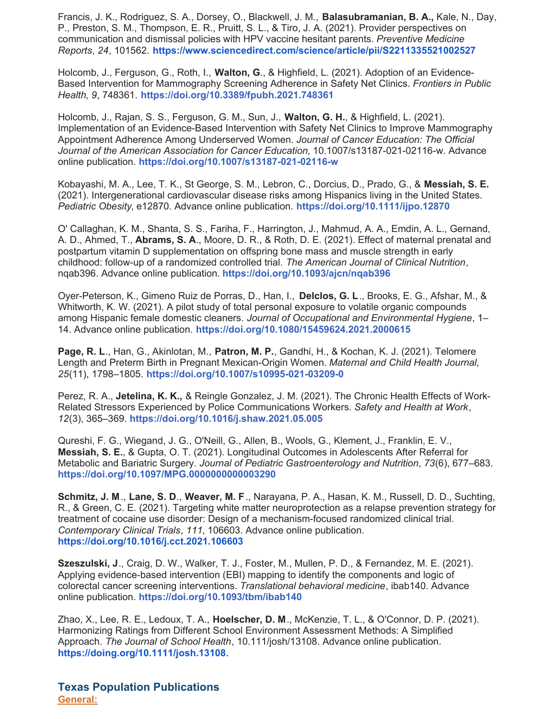Francis, J. K., Rodriguez, S. A., Dorsey, O., Blackwell, J. M., **Balasubramanian, B. A.,** Kale, N., Day, P., Preston, S. M., Thompson, E. R., Pruitt, S. L., & Tiro, J. A. (2021). Provider perspectives on communication and dismissal policies with HPV vaccine hesitant parents. *Preventive Medicine Reports*, *24*, 101562. **<https://www.sciencedirect.com/science/article/pii/S2211335521002527>**

Holcomb, J., Ferguson, G., Roth, I., **Walton, G**., & Highfield, L. (2021). Adoption of an Evidence-Based Intervention for Mammography Screening Adherence in Safety Net Clinics. *Frontiers in Public Health*, *9*, 748361. **https://doi.org/10.3389/fpubh.2021.748361**

Holcomb, J., Rajan, S. S., Ferguson, G. M., Sun, J., **Walton, G. H.**, & Highfield, L. (2021). Implementation of an Evidence-Based Intervention with Safety Net Clinics to Improve Mammography Appointment Adherence Among Underserved Women. *Journal of Cancer Education: The Official Journal of the American Association for Cancer Education*, 10.1007/s13187-021-02116-w. Advance online publication. **https://doi.org/10.1007/s13187-021-02116-w**

Kobayashi, M. A., Lee, T. K., St George, S. M., Lebron, C., Dorcius, D., Prado, G., & **Messiah, S. E.** (2021). Intergenerational cardiovascular disease risks among Hispanics living in the United States. *Pediatric Obesity*, e12870. Advance online publication. **https://doi.org/10.1111/ijpo.12870**

O' Callaghan, K. M., Shanta, S. S., Fariha, F., Harrington, J., Mahmud, A. A., Emdin, A. L., Gernand, A. D., Ahmed, T., **Abrams, S. A**., Moore, D. R., & Roth, D. E. (2021). Effect of maternal prenatal and postpartum vitamin D supplementation on offspring bone mass and muscle strength in early childhood: follow-up of a randomized controlled trial. *The American Journal of Clinical Nutrition*, nqab396. Advance online publication. **https://doi.org/10.1093/ajcn/nqab396**

Oyer-Peterson, K., Gimeno Ruiz de Porras, D., Han, I., **Delclos, G. L**., Brooks, E. G., Afshar, M., & Whitworth, K. W. (2021). A pilot study of total personal exposure to volatile organic compounds among Hispanic female domestic cleaners. *Journal of Occupational and Environmental Hygiene*, 1– 14. Advance online publication. **https://doi.org/10.1080/15459624.2021.2000615**

**Page, R. L**., Han, G., Akinlotan, M., **Patron, M. P.**, Gandhi, H., & Kochan, K. J. (2021). Telomere Length and Preterm Birth in Pregnant Mexican-Origin Women. *Maternal and Child Health Journal*, *25*(11), 1798–1805. **https://doi.org/10.1007/s10995-021-03209-0**

Perez, R. A., **Jetelina, K. K.,** & Reingle Gonzalez, J. M. (2021). The Chronic Health Effects of Work-Related Stressors Experienced by Police Communications Workers. *Safety and Health at Work*, *12*(3), 365–369. **https://doi.org/10.1016/j.shaw.2021.05.005**

Qureshi, F. G., Wiegand, J. G., O'Neill, G., Allen, B., Wools, G., Klement, J., Franklin, E. V., **Messiah, S. E.**, & Gupta, O. T. (2021). Longitudinal Outcomes in Adolescents After Referral for Metabolic and Bariatric Surgery. *Journal of Pediatric Gastroenterology and Nutrition*, *73*(6), 677–683. **https://doi.org/10.1097/MPG.0000000000003290**

**Schmitz, J. M**., **Lane, S. D**., **Weaver, M. F**., Narayana, P. A., Hasan, K. M., Russell, D. D., Suchting, R., & Green, C. E. (2021). Targeting white matter neuroprotection as a relapse prevention strategy for treatment of cocaine use disorder: Design of a mechanism-focused randomized clinical trial. *Contemporary Clinical Trials*, *111*, 106603. Advance online publication. **<https://doi.org/10.1016/j.cct.2021.106603>**

**Szeszulski, J**., Craig, D. W., Walker, T. J., Foster, M., Mullen, P. D., & Fernandez, M. E. (2021). Applying evidence-based intervention (EBI) mapping to identify the components and logic of colorectal cancer screening interventions. *Translational behavioral medicine*, ibab140. Advance online publication. **https://doi.org/10.1093/tbm/ibab140**

Zhao, X., Lee, R. E., Ledoux, T. A., **Hoelscher, D. M**., McKenzie, T. L., & O'Connor, D. P. (2021). Harmonizing Ratings from Different School Environment Assessment Methods: A Simplified Approach. *The Journal of School Health*, 10.111/josh/13108. Advance online publication. **<https://doing.org/10.1111/josh.13108>**.

**Texas Population Publications General:**